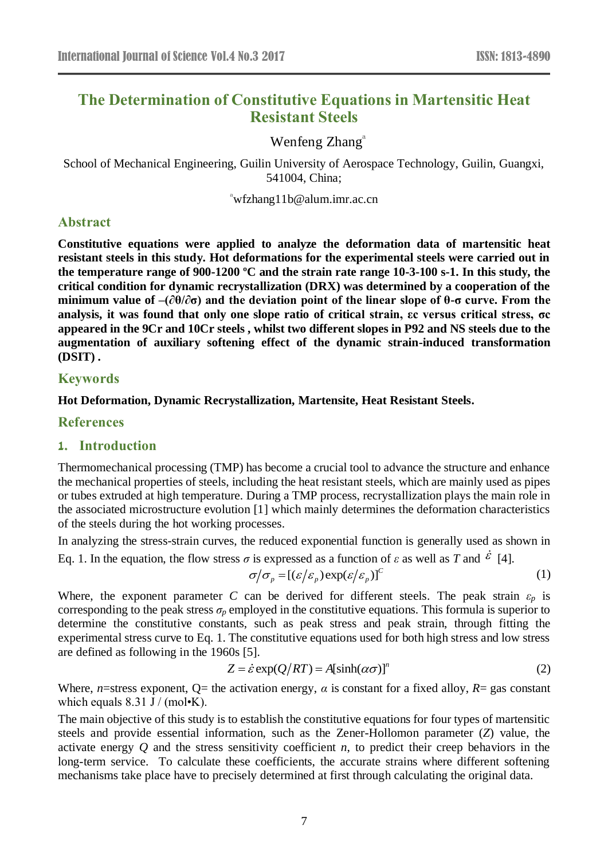# **The Determination of Constitutive Equations in Martensitic Heat Resistant Steels**

# Wenfeng Zhang<sup>a</sup>

School of Mechanical Engineering, Guilin University of Aerospace Technology, Guilin, Guangxi, 541004, China;

 $\alpha$ <sup>a</sup>wfzhang11b@alum.imr.ac.cn

## **Abstract**

**Constitutive equations were applied to analyze the deformation data of martensitic heat resistant steels in this study. Hot deformations for the experimental steels were carried out in the temperature range of 900-1200 ºC and the strain rate range 10-3-100 s-1. In this study, the critical condition for dynamic recrystallization (DRX) was determined by a cooperation of the minimum value of –(∂θ/∂σ) and the deviation point of the linear slope of θ-σ curve. From the analysis, it was found that only one slope ratio of critical strain, εc versus critical stress, σc appeared in the 9Cr and 10Cr steels , whilst two different slopes in P92 and NS steels due to the augmentation of auxiliary softening effect of the dynamic strain-induced transformation (DSIT) .**

## **Keywords**

## **Hot Deformation, Dynamic Recrystallization, Martensite, Heat Resistant Steels.**

## **References**

#### **1. Introduction**

Thermomechanical processing (TMP) has become a crucial tool to advance the structure and enhance the mechanical properties of steels, including the heat resistant steels, which are mainly used as pipes or tubes extruded at high temperature. During a TMP process, recrystallization plays the main role in the associated microstructure evolution [1] which mainly determines the deformation characteristics of the steels during the hot working processes.

In analyzing the stress-strain curves, the reduced exponential function is generally used as shown in Eq. 1. In the equation, the flow stress  $\sigma$  is expressed as a function of  $\varepsilon$  as well as *T* and  $\varepsilon$  [4].

$$
\sigma/\sigma_p = \left[ (\varepsilon/\varepsilon_p) \exp(\varepsilon/\varepsilon_p) \right]^c \tag{1}
$$

Where, the exponent parameter *C* can be derived for different steels. The peak strain  $\varepsilon_p$  is corresponding to the peak stress  $\sigma_p$  employed in the constitutive equations. This formula is superior to determine the constitutive constants, such as peak stress and peak strain, through fitting the experimental stress curve to Eq. 1. The constitutive equations used for both high stress and low stress are defined as following in the 1960s [5].

$$
Z = \dot{\varepsilon} \exp(Q/RT) = A[\sinh(\alpha \sigma)]^{n}
$$
 (2)

Where, *n*=stress exponent, Q= the activation energy,  $\alpha$  is constant for a fixed alloy,  $R$ = gas constant which equals  $8.31 \text{ J} / (\text{mol} \cdot \text{K})$ .

The main objective of this study is to establish the constitutive equations for four types of martensitic steels and provide essential information, such as the Zener-Hollomon parameter (*Z*) value, the activate energy *Q* and the stress sensitivity coefficient *n*, to predict their creep behaviors in the long-term service. To calculate these coefficients, the accurate strains where different softening mechanisms take place have to precisely determined at first through calculating the original data.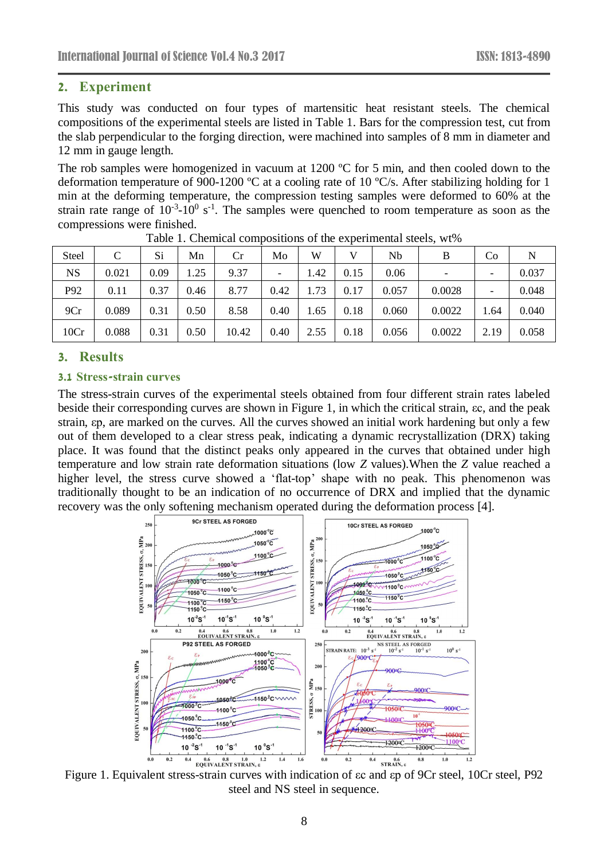#### **2. Experiment**

This study was conducted on four types of martensitic heat resistant steels. The chemical compositions of the experimental steels are listed in Table 1. Bars for the compression test, cut from the slab perpendicular to the forging direction, were machined into samples of 8 mm in diameter and 12 mm in gauge length.

The rob samples were homogenized in vacuum at 1200  $\mathbb C$  for 5 min, and then cooled down to the deformation temperature of 900-1200  $\mathbb C$  at a cooling rate of 10  $\mathbb C$ /s. After stabilizing holding for 1 min at the deforming temperature, the compression testing samples were deformed to 60% at the strain rate range of  $10^{-3}$ - $10^{0}$  s<sup>-1</sup>. The samples were quenched to room temperature as soon as the compressions were finished.

| Steel     | C     | Si   | Mn   | Cr    | Mo                       | W    |      | Nb    | B                        | Co   | N     |
|-----------|-------|------|------|-------|--------------------------|------|------|-------|--------------------------|------|-------|
| <b>NS</b> | 0.021 | 0.09 | 1.25 | 9.37  | $\overline{\phantom{a}}$ | 1.42 | 0.15 | 0.06  | $\overline{\phantom{a}}$ |      | 0.037 |
| P92       | 0.11  | 0.37 | 0.46 | 8.77  | 0.42                     | 1.73 | 0.17 | 0.057 | 0.0028                   |      | 0.048 |
| 9Cr       | 0.089 | 0.31 | 0.50 | 8.58  | 0.40                     | 1.65 | 0.18 | 0.060 | 0.0022                   | 1.64 | 0.040 |
| 10Cr      | 0.088 | 0.31 | 0.50 | 10.42 | 0.40                     | 2.55 | 0.18 | 0.056 | 0.0022                   | 2.19 | 0.058 |

Table 1. Chemical compositions of the experimental steels, wt%

#### **3. Results**

#### **3.1 Stress-strain curves**

The stress-strain curves of the experimental steels obtained from four different strain rates labeled beside their corresponding curves are shown in Figure 1, in which the critical strain, εc, and the peak strain, εp, are marked on the curves. All the curves showed an initial work hardening but only a few out of them developed to a clear stress peak, indicating a dynamic recrystallization (DRX) taking place. It was found that the distinct peaks only appeared in the curves that obtained under high temperature and low strain rate deformation situations (low *Z* values).When the *Z* value reached a higher level, the stress curve showed a 'flat-top' shape with no peak. This phenomenon was traditionally thought to be an indication of no occurrence of DRX and implied that the dynamic recovery was the only softening mechanism operated during the deformation process [4].



Figure 1. Equivalent stress-strain curves with indication of εc and εp of 9Cr steel, 10Cr steel, P92 steel and NS steel in sequence.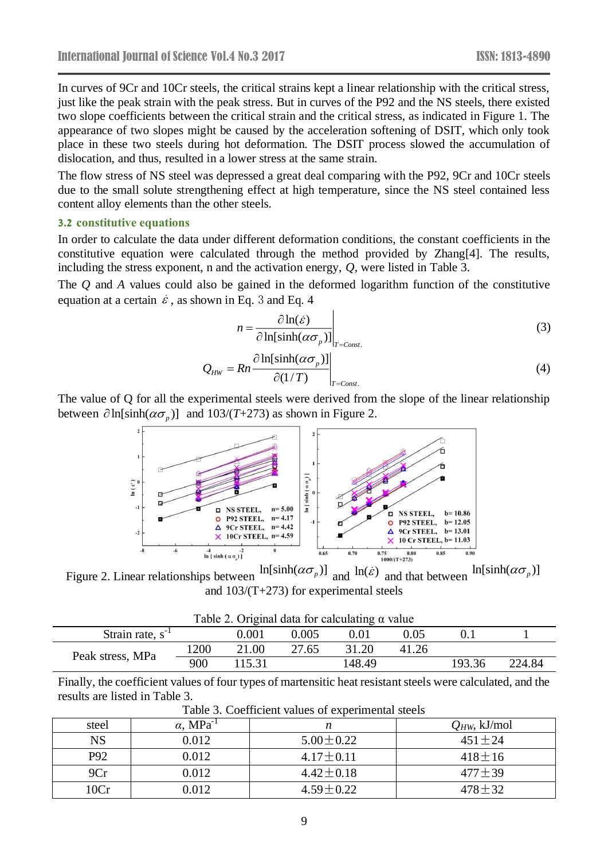In curves of 9Cr and 10Cr steels, the critical strains kept a linear relationship with the critical stress, just like the peak strain with the peak stress. But in curves of the P92 and the NS steels, there existed two slope coefficients between the critical strain and the critical stress, as indicated in Figure 1. The appearance of two slopes might be caused by the acceleration softening of DSIT, which only took place in these two steels during hot deformation. The DSIT process slowed the accumulation of dislocation, and thus, resulted in a lower stress at the same strain.

The flow stress of NS steel was depressed a great deal comparing with the P92, 9Cr and 10Cr steels due to the small solute strengthening effect at high temperature, since the NS steel contained less content alloy elements than the other steels.

#### **3.2 constitutive equations**

In order to calculate the data under different deformation conditions, the constant coefficients in the constitutive equation were calculated through the method provided by Zhang[4]. The results, including the stress exponent, n and the activation energy, *Q*, were listed in Table 3.

The *Q* and *A* values could also be gained in the deformed logarithm function of the constitutive equation at a certain  $\dot{\varepsilon}$ , as shown in Eq. 3 and Eq. 4

$$
n = \frac{\partial \ln(\dot{\varepsilon})}{\partial \ln[\sinh(\alpha \sigma_p)]}\Big|_{T = Const.}
$$
 (3)

$$
Q_{HW} = Rn \frac{\partial \ln[\sinh(\alpha \sigma_p)]}{\partial (1/T)}\bigg|_{T=Cons.}
$$
 (4)

The value of Q for all the experimental steels were derived from the slope of the linear relationship between  $\partial \ln[\sinh(\alpha \sigma_p)]$  and  $103/(T+273)$  as shown in Figure 2.



Figure 2. Linear relationships between  $\ln[\sinh(\alpha \sigma_p)]$  and  $\ln(\dot{\varepsilon})$ and that between  $ln[sinh(\alpha \sigma_p)]$ and 103/(T+273) for experimental steels

 $T<sub>1</sub>$   $T<sub>2</sub>$   $T<sub>3</sub>$   $T<sub>4</sub>$   $T<sub>5</sub>$   $T<sub>6</sub>$   $T<sub>7</sub>$   $T<sub>8</sub>$   $T<sub>7</sub>$ 

| Table 2. Original data for calculating $\alpha$ value |      |           |       |        |          |        |        |
|-------------------------------------------------------|------|-----------|-------|--------|----------|--------|--------|
| Strain rate, $s^{-1}$                                 |      | $0.001\,$ | 0.005 | 0.01   | $0.05\,$ |        |        |
| Peak stress, MPa                                      | 1200 | 21.00     | 27.65 | 31.20  | 41.26    |        |        |
|                                                       | 900  | 115.31    |       | 148.49 |          | 193.36 | 224.84 |

Finally, the coefficient values of four types of martensitic heat resistant steels were calculated, and the results are listed in Table 3.

| steel     | $\alpha$ , MPa <sup>-1</sup> |                 | $Q_{HW}$ , kJ/mol |  |  |  |  |
|-----------|------------------------------|-----------------|-------------------|--|--|--|--|
| <b>NS</b> | 0.012                        | $5.00 \pm 0.22$ | $451 + 24$        |  |  |  |  |
| P92       | 0.012                        | $4.17 \pm 0.11$ | $418 \pm 16$      |  |  |  |  |
| 9Cr       | 0.012                        | $4.42 \pm 0.18$ | $477 \pm 39$      |  |  |  |  |
| 10Cr      | 0.012                        | $4.59 \pm 0.22$ | $478 + 32$        |  |  |  |  |

Table 3. Coefficient values of experimental steels